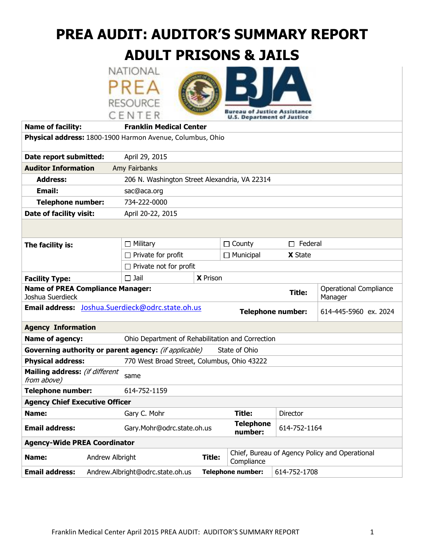# **PREA AUDIT: AUDITOR'S SUMMARY REPORT**

# **ADULT PRISONS & JAILS**





**U.S. Department of Justice Name of facility: Franklin Medical Center Physical address:** 1800-1900 Harmon Avenue, Columbus, Ohio **Date report submitted:** April 29, 2015 **Auditor Information** Amy Fairbanks  **Address:** 206 N. Washington Street Alexandria, VA 22314 **Email:** sac@aca.org  **Telephone number:** 734-222-0000 **Date of facility visit:** April 20-22, 2015 **The facility is:**  $\Box$  Military  $\Box$  County  $\Box$  Federal  $\Box$  Private for profit  $\Box$  Municipal **X** State  $\Box$  Private not for profit **Facility Type:**  $\Box$  Jail X Prison **Name of PREA Compliance Manager:**  Joshua Suerdieck **Title:** Operational Compliance Manager **Email address:** [Joshua.Suerdieck@odrc.state.oh.us](mailto:Joshua.Suerdieck@odrc.state.oh.us) **Telephone number:** 614-445-5960 ex. 2024 **Agency Information Name of agency:** Ohio Department of Rehabilitation and Correction **Governing authority or parent agency:** (if applicable) State of Ohio **Physical address:** 770 West Broad Street, Columbus, Ohio 43222 **Mailing address:** (if different same from above) **Telephone number:** 614-752-1159 **Agency Chief Executive Officer Name: Gary C. Mohr Title:** Director **Email address:** Gary.Mohr@odrc.state.oh.us **Telephone number:** 614-752-1164 **Agency-Wide PREA Coordinator**

| <b>Name:</b> | Andrew Albright                                        |                                           | Title:   Compliance | Chief, Bureau of Agency Policy and Operational |
|--------------|--------------------------------------------------------|-------------------------------------------|---------------------|------------------------------------------------|
|              | <b>Email address:</b> Andrew.Albright@odrc.state.oh.us | <b>Telephone number:</b> $  614-752-1708$ |                     |                                                |
|              |                                                        |                                           |                     |                                                |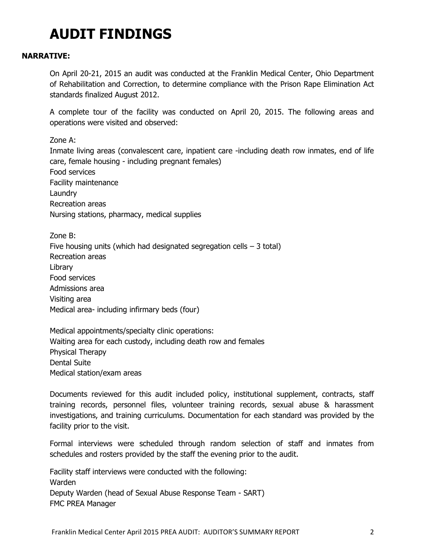# **AUDIT FINDINGS**

### **NARRATIVE:**

On April 20-21, 2015 an audit was conducted at the Franklin Medical Center, Ohio Department of Rehabilitation and Correction, to determine compliance with the Prison Rape Elimination Act standards finalized August 2012.

A complete tour of the facility was conducted on April 20, 2015. The following areas and operations were visited and observed:

Zone A:

Inmate living areas (convalescent care, inpatient care -including death row inmates, end of life care, female housing - including pregnant females) Food services Facility maintenance Laundry Recreation areas Nursing stations, pharmacy, medical supplies

Zone B: Five housing units (which had designated segregation cells  $-3$  total) Recreation areas Library Food services Admissions area Visiting area Medical area- including infirmary beds (four)

Medical appointments/specialty clinic operations: Waiting area for each custody, including death row and females Physical Therapy Dental Suite Medical station/exam areas

Documents reviewed for this audit included policy, institutional supplement, contracts, staff training records, personnel files, volunteer training records, sexual abuse & harassment investigations, and training curriculums. Documentation for each standard was provided by the facility prior to the visit.

Formal interviews were scheduled through random selection of staff and inmates from schedules and rosters provided by the staff the evening prior to the audit.

Facility staff interviews were conducted with the following: Warden Deputy Warden (head of Sexual Abuse Response Team - SART) FMC PREA Manager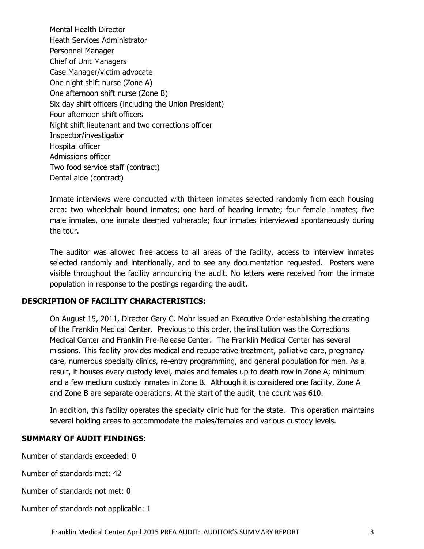Mental Health Director Heath Services Administrator Personnel Manager Chief of Unit Managers Case Manager/victim advocate One night shift nurse (Zone A) One afternoon shift nurse (Zone B) Six day shift officers (including the Union President) Four afternoon shift officers Night shift lieutenant and two corrections officer Inspector/investigator Hospital officer Admissions officer Two food service staff (contract) Dental aide (contract)

Inmate interviews were conducted with thirteen inmates selected randomly from each housing area: two wheelchair bound inmates; one hard of hearing inmate; four female inmates; five male inmates, one inmate deemed vulnerable; four inmates interviewed spontaneously during the tour.

The auditor was allowed free access to all areas of the facility, access to interview inmates selected randomly and intentionally, and to see any documentation requested. Posters were visible throughout the facility announcing the audit. No letters were received from the inmate population in response to the postings regarding the audit.

### **DESCRIPTION OF FACILITY CHARACTERISTICS:**

On August 15, 2011, Director Gary C. Mohr issued an Executive Order establishing the creating of the Franklin Medical Center. Previous to this order, the institution was the Corrections Medical Center and Franklin Pre-Release Center. The Franklin Medical Center has several missions. This facility provides medical and recuperative treatment, palliative care, pregnancy care, numerous specialty clinics, re-entry programming, and general population for men. As a result, it houses every custody level, males and females up to death row in Zone A; minimum and a few medium custody inmates in Zone B. Although it is considered one facility, Zone A and Zone B are separate operations. At the start of the audit, the count was 610.

In addition, this facility operates the specialty clinic hub for the state. This operation maintains several holding areas to accommodate the males/females and various custody levels.

### **SUMMARY OF AUDIT FINDINGS:**

Number of standards exceeded: 0

Number of standards met: 42

Number of standards not met: 0

Number of standards not applicable: 1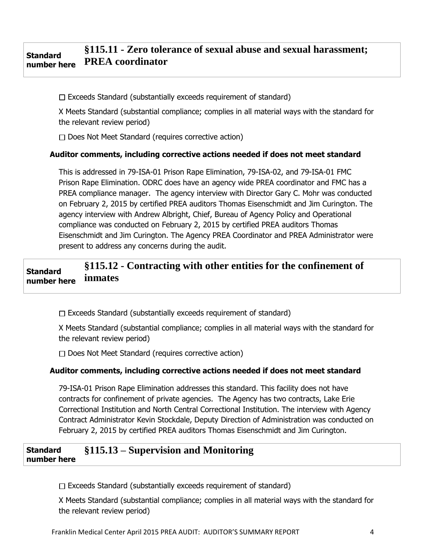#### **Standard number here §115.11 - Zero tolerance of sexual abuse and sexual harassment; PREA coordinator**

 $\Box$  Exceeds Standard (substantially exceeds requirement of standard)

X Meets Standard (substantial compliance; complies in all material ways with the standard for the relevant review period)

 $\Box$  Does Not Meet Standard (requires corrective action)

### **Auditor comments, including corrective actions needed if does not meet standard**

This is addressed in 79-ISA-01 Prison Rape Elimination, 79-ISA-02, and 79-ISA-01 FMC Prison Rape Elimination. ODRC does have an agency wide PREA coordinator and FMC has a PREA compliance manager. The agency interview with Director Gary C. Mohr was conducted on February 2, 2015 by certified PREA auditors Thomas Eisenschmidt and Jim Curington. The agency interview with Andrew Albright, Chief, Bureau of Agency Policy and Operational compliance was conducted on February 2, 2015 by certified PREA auditors Thomas Eisenschmidt and Jim Curington. The Agency PREA Coordinator and PREA Administrator were present to address any concerns during the audit.

#### **Standard number here §115.12 - Contracting with other entities for the confinement of inmates**

 $\Box$  Exceeds Standard (substantially exceeds requirement of standard)

X Meets Standard (substantial compliance; complies in all material ways with the standard for the relevant review period)

 $\Box$  Does Not Meet Standard (requires corrective action)

### **Auditor comments, including corrective actions needed if does not meet standard**

79-ISA-01 Prison Rape Elimination addresses this standard. This facility does not have contracts for confinement of private agencies. The Agency has two contracts, Lake Erie Correctional Institution and North Central Correctional Institution. The interview with Agency Contract Administrator Kevin Stockdale, Deputy Direction of Administration was conducted on February 2, 2015 by certified PREA auditors Thomas Eisenschmidt and Jim Curington.

#### **Standard number here §115.13 – Supervision and Monitoring**

 $\Box$  Exceeds Standard (substantially exceeds requirement of standard)

X Meets Standard (substantial compliance; complies in all material ways with the standard for the relevant review period)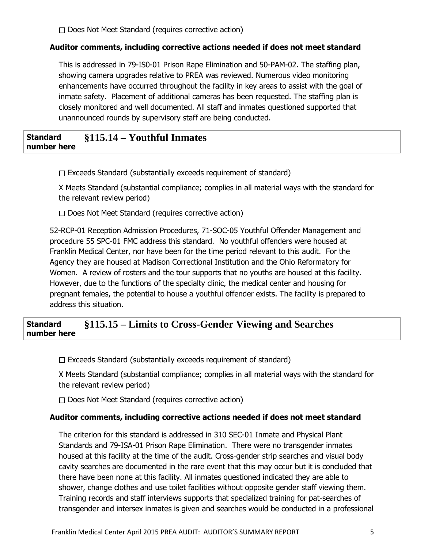$\Box$  Does Not Meet Standard (requires corrective action)

### **Auditor comments, including corrective actions needed if does not meet standard**

This is addressed in 79-IS0-01 Prison Rape Elimination and 50-PAM-02. The staffing plan, showing camera upgrades relative to PREA was reviewed. Numerous video monitoring enhancements have occurred throughout the facility in key areas to assist with the goal of inmate safety. Placement of additional cameras has been requested. The staffing plan is closely monitored and well documented. All staff and inmates questioned supported that unannounced rounds by supervisory staff are being conducted.

#### **Standard number here §115.14 – Youthful Inmates**

 $\Box$  Exceeds Standard (substantially exceeds requirement of standard)

X Meets Standard (substantial compliance; complies in all material ways with the standard for the relevant review period)

 $\Box$  Does Not Meet Standard (requires corrective action)

52-RCP-01 Reception Admission Procedures, 71-SOC-05 Youthful Offender Management and procedure 55 SPC-01 FMC address this standard. No youthful offenders were housed at Franklin Medical Center, nor have been for the time period relevant to this audit. For the Agency they are housed at Madison Correctional Institution and the Ohio Reformatory for Women. A review of rosters and the tour supports that no youths are housed at this facility. However, due to the functions of the specialty clinic, the medical center and housing for pregnant females, the potential to house a youthful offender exists. The facility is prepared to address this situation.

### **Standard number here §115.15 – Limits to Cross-Gender Viewing and Searches**

 $\Box$  Exceeds Standard (substantially exceeds requirement of standard)

X Meets Standard (substantial compliance; complies in all material ways with the standard for the relevant review period)

 $\Box$  Does Not Meet Standard (requires corrective action)

## **Auditor comments, including corrective actions needed if does not meet standard**

The criterion for this standard is addressed in 310 SEC-01 Inmate and Physical Plant Standards and 79-ISA-01 Prison Rape Elimination. There were no transgender inmates housed at this facility at the time of the audit. Cross-gender strip searches and visual body cavity searches are documented in the rare event that this may occur but it is concluded that there have been none at this facility. All inmates questioned indicated they are able to shower, change clothes and use toilet facilities without opposite gender staff viewing them. Training records and staff interviews supports that specialized training for pat-searches of transgender and intersex inmates is given and searches would be conducted in a professional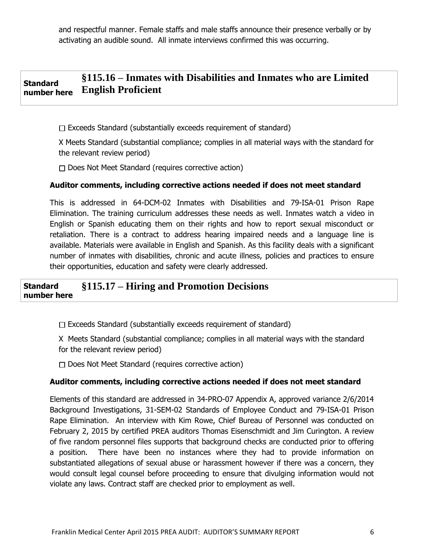and respectful manner. Female staffs and male staffs announce their presence verbally or by activating an audible sound. All inmate interviews confirmed this was occurring.

#### **Standard number here §115.16 – Inmates with Disabilities and Inmates who are Limited English Proficient**

 $\Box$  Exceeds Standard (substantially exceeds requirement of standard)

X Meets Standard (substantial compliance; complies in all material ways with the standard for the relevant review period)

 $\Box$  Does Not Meet Standard (requires corrective action)

### **Auditor comments, including corrective actions needed if does not meet standard**

This is addressed in 64-DCM-02 Inmates with Disabilities and 79-ISA-01 Prison Rape Elimination. The training curriculum addresses these needs as well. Inmates watch a video in English or Spanish educating them on their rights and how to report sexual misconduct or retaliation. There is a contract to address hearing impaired needs and a language line is available. Materials were available in English and Spanish. As this facility deals with a significant number of inmates with disabilities, chronic and acute illness, policies and practices to ensure their opportunities, education and safety were clearly addressed.

#### **Standard number here §115.17 – Hiring and Promotion Decisions**

 $\Box$  Exceeds Standard (substantially exceeds requirement of standard)

X Meets Standard (substantial compliance; complies in all material ways with the standard for the relevant review period)

 $\Box$  Does Not Meet Standard (requires corrective action)

### **Auditor comments, including corrective actions needed if does not meet standard**

Elements of this standard are addressed in 34-PRO-07 Appendix A, approved variance 2/6/2014 Background Investigations, 31-SEM-02 Standards of Employee Conduct and 79-ISA-01 Prison Rape Elimination. An interview with Kim Rowe, Chief Bureau of Personnel was conducted on February 2, 2015 by certified PREA auditors Thomas Eisenschmidt and Jim Curington. A review of five random personnel files supports that background checks are conducted prior to offering a position. There have been no instances where they had to provide information on substantiated allegations of sexual abuse or harassment however if there was a concern, they would consult legal counsel before proceeding to ensure that divulging information would not violate any laws. Contract staff are checked prior to employment as well.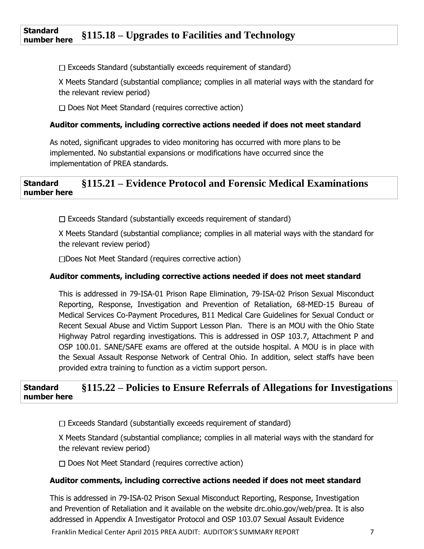### **Standard number here §115.18 – Upgrades to Facilities and Technology**

 $\Box$  Exceeds Standard (substantially exceeds requirement of standard)

X Meets Standard (substantial compliance; complies in all material ways with the standard for the relevant review period)

 $\Box$  Does Not Meet Standard (requires corrective action)

## **Auditor comments, including corrective actions needed if does not meet standard**

As noted, significant upgrades to video monitoring has occurred with more plans to be implemented. No substantial expansions or modifications have occurred since the implementation of PREA standards.

### **Standard number here §115.21 – Evidence Protocol and Forensic Medical Examinations**

 $\Box$  Exceeds Standard (substantially exceeds requirement of standard)

X Meets Standard (substantial compliance; complies in all material ways with the standard for the relevant review period)

Does Not Meet Standard (requires corrective action)

### **Auditor comments, including corrective actions needed if does not meet standard**

This is addressed in 79-ISA-01 Prison Rape Elimination, 79-ISA-02 Prison Sexual Misconduct Reporting, Response, Investigation and Prevention of Retaliation, 68-MED-15 Bureau of Medical Services Co-Payment Procedures, B11 Medical Care Guidelines for Sexual Conduct or Recent Sexual Abuse and Victim Support Lesson Plan. There is an MOU with the Ohio State Highway Patrol regarding investigations. This is addressed in OSP 103.7, Attachment P and OSP 100.01. SANE/SAFE exams are offered at the outside hospital. A MOU is in place with the Sexual Assault Response Network of Central Ohio. In addition, select staffs have been provided extra training to function as a victim support person.

#### **Standard number here §115.22 – Policies to Ensure Referrals of Allegations for Investigations**

 $\Box$  Exceeds Standard (substantially exceeds requirement of standard)

X Meets Standard (substantial compliance; complies in all material ways with the standard for the relevant review period)

 $\Box$  Does Not Meet Standard (requires corrective action)

### **Auditor comments, including corrective actions needed if does not meet standard**

This is addressed in 79-ISA-02 Prison Sexual Misconduct Reporting, Response, Investigation and Prevention of Retaliation and it available on the website drc.ohio.gov/web/prea. It is also addressed in Appendix A Investigator Protocol and OSP 103.07 Sexual Assault Evidence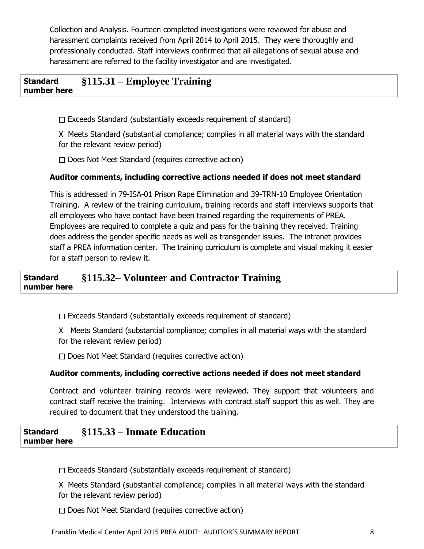Collection and Analysis. Fourteen completed investigations were reviewed for abuse and harassment complaints received from April 2014 to April 2015. They were thoroughly and professionally conducted. Staff interviews confirmed that all allegations of sexual abuse and harassment are referred to the facility investigator and are investigated.

### **Standard number here §115.31 – Employee Training**

 $\Box$  Exceeds Standard (substantially exceeds requirement of standard)

X Meets Standard (substantial compliance; complies in all material ways with the standard for the relevant review period)

 $\Box$  Does Not Meet Standard (requires corrective action)

# **Auditor comments, including corrective actions needed if does not meet standard**

This is addressed in 79-ISA-01 Prison Rape Elimination and 39-TRN-10 Employee Orientation Training. A review of the training curriculum, training records and staff interviews supports that all employees who have contact have been trained regarding the requirements of PREA. Employees are required to complete a quiz and pass for the training they received. Training does address the gender specific needs as well as transgender issues. The intranet provides staff a PREA information center. The training curriculum is complete and visual making it easier for a staff person to review it.

#### **Standard number here §115.32– Volunteer and Contractor Training**

 $\Box$  Exceeds Standard (substantially exceeds requirement of standard)

X Meets Standard (substantial compliance; complies in all material ways with the standard for the relevant review period)

 $\Box$  Does Not Meet Standard (requires corrective action)

# **Auditor comments, including corrective actions needed if does not meet standard**

Contract and volunteer training records were reviewed. They support that volunteers and contract staff receive the training. Interviews with contract staff support this as well. They are required to document that they understood the training.

#### **Standard number here §115.33 – Inmate Education**

 $\Box$  Exceeds Standard (substantially exceeds requirement of standard)

X Meets Standard (substantial compliance; complies in all material ways with the standard for the relevant review period)

 $\Box$  Does Not Meet Standard (requires corrective action)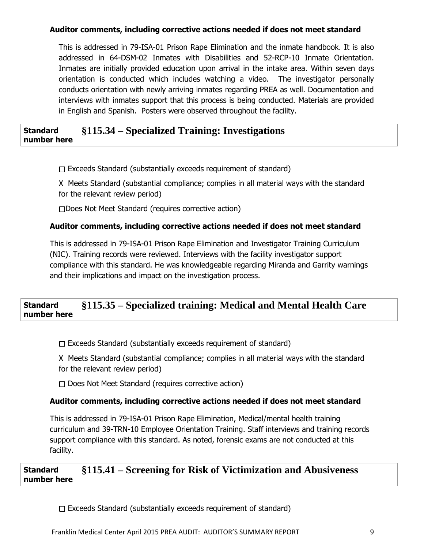# **Auditor comments, including corrective actions needed if does not meet standard**

This is addressed in 79-ISA-01 Prison Rape Elimination and the inmate handbook. It is also addressed in 64-DSM-02 Inmates with Disabilities and 52-RCP-10 Inmate Orientation. Inmates are initially provided education upon arrival in the intake area. Within seven days orientation is conducted which includes watching a video. The investigator personally conducts orientation with newly arriving inmates regarding PREA as well. Documentation and interviews with inmates support that this process is being conducted. Materials are provided in English and Spanish. Posters were observed throughout the facility.

#### **Standard number here §115.34 – Specialized Training: Investigations**

 $\Box$  Exceeds Standard (substantially exceeds requirement of standard)

X Meets Standard (substantial compliance; complies in all material ways with the standard for the relevant review period)

Does Not Meet Standard (requires corrective action)

### **Auditor comments, including corrective actions needed if does not meet standard**

This is addressed in 79-ISA-01 Prison Rape Elimination and Investigator Training Curriculum (NIC). Training records were reviewed. Interviews with the facility investigator support compliance with this standard. He was knowledgeable regarding Miranda and Garrity warnings and their implications and impact on the investigation process.

### **Standard number here §115.35 – Specialized training: Medical and Mental Health Care**

 $\Box$  Exceeds Standard (substantially exceeds requirement of standard)

X Meets Standard (substantial compliance; complies in all material ways with the standard for the relevant review period)

 $\Box$  Does Not Meet Standard (requires corrective action)

## **Auditor comments, including corrective actions needed if does not meet standard**

This is addressed in 79-ISA-01 Prison Rape Elimination, Medical/mental health training curriculum and 39-TRN-10 Employee Orientation Training. Staff interviews and training records support compliance with this standard. As noted, forensic exams are not conducted at this facility.

### **Standard number here §115.41 – Screening for Risk of Victimization and Abusiveness**

 $\Box$  Exceeds Standard (substantially exceeds requirement of standard)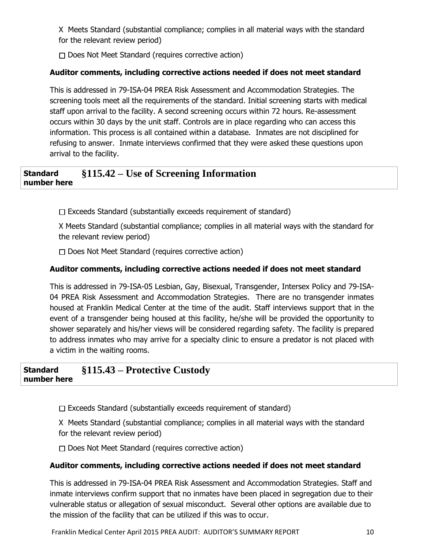X Meets Standard (substantial compliance; complies in all material ways with the standard for the relevant review period)

 $\Box$  Does Not Meet Standard (requires corrective action)

# **Auditor comments, including corrective actions needed if does not meet standard**

This is addressed in 79-ISA-04 PREA Risk Assessment and Accommodation Strategies. The screening tools meet all the requirements of the standard. Initial screening starts with medical staff upon arrival to the facility. A second screening occurs within 72 hours. Re-assessment occurs within 30 days by the unit staff. Controls are in place regarding who can access this information. This process is all contained within a database. Inmates are not disciplined for refusing to answer. Inmate interviews confirmed that they were asked these questions upon arrival to the facility.

### **Standard number here §115.42 – Use of Screening Information**

 $\Box$  Exceeds Standard (substantially exceeds requirement of standard)

X Meets Standard (substantial compliance; complies in all material ways with the standard for the relevant review period)

Does Not Meet Standard (requires corrective action)

# **Auditor comments, including corrective actions needed if does not meet standard**

This is addressed in 79-ISA-05 Lesbian, Gay, Bisexual, Transgender, Intersex Policy and 79-ISA-04 PREA Risk Assessment and Accommodation Strategies. There are no transgender inmates housed at Franklin Medical Center at the time of the audit. Staff interviews support that in the event of a transgender being housed at this facility, he/she will be provided the opportunity to shower separately and his/her views will be considered regarding safety. The facility is prepared to address inmates who may arrive for a specialty clinic to ensure a predator is not placed with a victim in the waiting rooms.

**Standard number here §115.43 – Protective Custody** 

 $\Box$  Exceeds Standard (substantially exceeds requirement of standard)

X Meets Standard (substantial compliance; complies in all material ways with the standard for the relevant review period)

 $\Box$  Does Not Meet Standard (requires corrective action)

# **Auditor comments, including corrective actions needed if does not meet standard**

This is addressed in 79-ISA-04 PREA Risk Assessment and Accommodation Strategies. Staff and inmate interviews confirm support that no inmates have been placed in segregation due to their vulnerable status or allegation of sexual misconduct. Several other options are available due to the mission of the facility that can be utilized if this was to occur.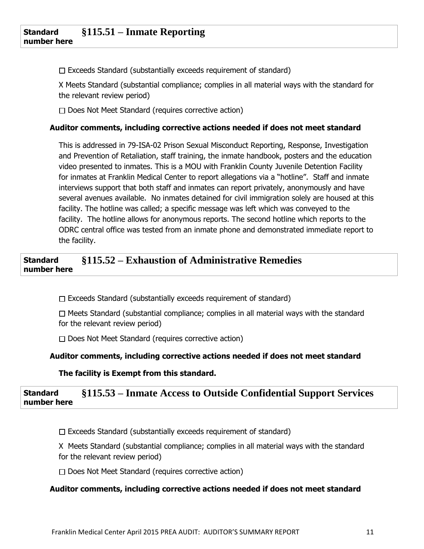$\Box$  Exceeds Standard (substantially exceeds requirement of standard)

X Meets Standard (substantial compliance; complies in all material ways with the standard for the relevant review period)

 $\Box$  Does Not Meet Standard (requires corrective action)

### **Auditor comments, including corrective actions needed if does not meet standard**

This is addressed in 79-ISA-02 Prison Sexual Misconduct Reporting, Response, Investigation and Prevention of Retaliation, staff training, the inmate handbook, posters and the education video presented to inmates. This is a MOU with Franklin County Juvenile Detention Facility for inmates at Franklin Medical Center to report allegations via a "hotline". Staff and inmate interviews support that both staff and inmates can report privately, anonymously and have several avenues available. No inmates detained for civil immigration solely are housed at this facility. The hotline was called; a specific message was left which was conveyed to the facility. The hotline allows for anonymous reports. The second hotline which reports to the ODRC central office was tested from an inmate phone and demonstrated immediate report to the facility.

### **Standard number here §115.52 – Exhaustion of Administrative Remedies**

 $\Box$  Exceeds Standard (substantially exceeds requirement of standard)

 $\Box$  Meets Standard (substantial compliance; complies in all material ways with the standard for the relevant review period)

 $\Box$  Does Not Meet Standard (requires corrective action)

## **Auditor comments, including corrective actions needed if does not meet standard**

**The facility is Exempt from this standard.**

### **Standard number here §115.53 – Inmate Access to Outside Confidential Support Services**

 $\Box$  Exceeds Standard (substantially exceeds requirement of standard)

X Meets Standard (substantial compliance; complies in all material ways with the standard for the relevant review period)

 $\Box$  Does Not Meet Standard (requires corrective action)

## **Auditor comments, including corrective actions needed if does not meet standard**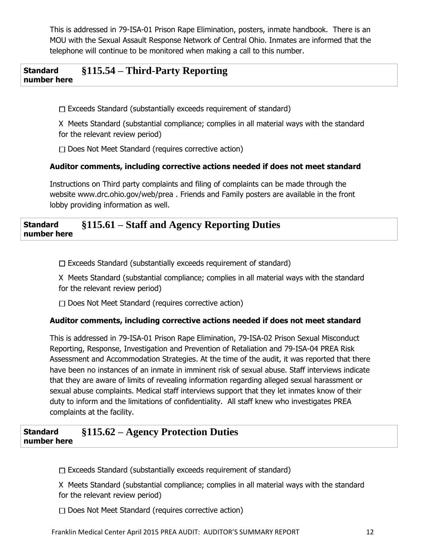This is addressed in 79-ISA-01 Prison Rape Elimination, posters, inmate handbook. There is an MOU with the Sexual Assault Response Network of Central Ohio. Inmates are informed that the telephone will continue to be monitored when making a call to this number.

#### **Standard number here §115.54 – Third-Party Reporting**

 $\Box$  Exceeds Standard (substantially exceeds requirement of standard)

X Meets Standard (substantial compliance; complies in all material ways with the standard for the relevant review period)

 $\Box$  Does Not Meet Standard (requires corrective action)

# **Auditor comments, including corrective actions needed if does not meet standard**

Instructions on Third party complaints and filing of complaints can be made through the website www.drc.ohio.gov/web/prea . Friends and Family posters are available in the front lobby providing information as well.

#### **Standard number here §115.61 – Staff and Agency Reporting Duties**

 $\Box$  Exceeds Standard (substantially exceeds requirement of standard)

X Meets Standard (substantial compliance; complies in all material ways with the standard for the relevant review period)

 $\Box$  Does Not Meet Standard (requires corrective action)

# **Auditor comments, including corrective actions needed if does not meet standard**

This is addressed in 79-ISA-01 Prison Rape Elimination, 79-ISA-02 Prison Sexual Misconduct Reporting, Response, Investigation and Prevention of Retaliation and 79-ISA-04 PREA Risk Assessment and Accommodation Strategies. At the time of the audit, it was reported that there have been no instances of an inmate in imminent risk of sexual abuse. Staff interviews indicate that they are aware of limits of revealing information regarding alleged sexual harassment or sexual abuse complaints. Medical staff interviews support that they let inmates know of their duty to inform and the limitations of confidentiality. All staff knew who investigates PREA complaints at the facility.

### **Standard number here §115.62 – Agency Protection Duties**

 $\Box$  Exceeds Standard (substantially exceeds requirement of standard)

X Meets Standard (substantial compliance; complies in all material ways with the standard for the relevant review period)

 $\Box$  Does Not Meet Standard (requires corrective action)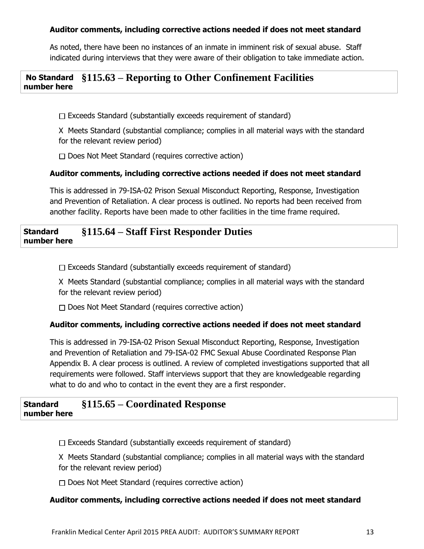## **Auditor comments, including corrective actions needed if does not meet standard**

As noted, there have been no instances of an inmate in imminent risk of sexual abuse. Staff indicated during interviews that they were aware of their obligation to take immediate action.

#### **No Standard number here §115.63 – Reporting to Other Confinement Facilities**

 $\Box$  Exceeds Standard (substantially exceeds requirement of standard)

X Meets Standard (substantial compliance; complies in all material ways with the standard for the relevant review period)

 $\Box$  Does Not Meet Standard (requires corrective action)

## **Auditor comments, including corrective actions needed if does not meet standard**

This is addressed in 79-ISA-02 Prison Sexual Misconduct Reporting, Response, Investigation and Prevention of Retaliation. A clear process is outlined. No reports had been received from another facility. Reports have been made to other facilities in the time frame required.

#### **Standard number here §115.64 – Staff First Responder Duties**

 $\Box$  Exceeds Standard (substantially exceeds requirement of standard)

X Meets Standard (substantial compliance; complies in all material ways with the standard for the relevant review period)

 $\Box$  Does Not Meet Standard (requires corrective action)

## **Auditor comments, including corrective actions needed if does not meet standard**

This is addressed in 79-ISA-02 Prison Sexual Misconduct Reporting, Response, Investigation and Prevention of Retaliation and 79-ISA-02 FMC Sexual Abuse Coordinated Response Plan Appendix B. A clear process is outlined. A review of completed investigations supported that all requirements were followed. Staff interviews support that they are knowledgeable regarding what to do and who to contact in the event they are a first responder.

#### **Standard number here §115.65 – Coordinated Response**

 $\Box$  Exceeds Standard (substantially exceeds requirement of standard)

X Meets Standard (substantial compliance; complies in all material ways with the standard for the relevant review period)

 $\Box$  Does Not Meet Standard (requires corrective action)

## **Auditor comments, including corrective actions needed if does not meet standard**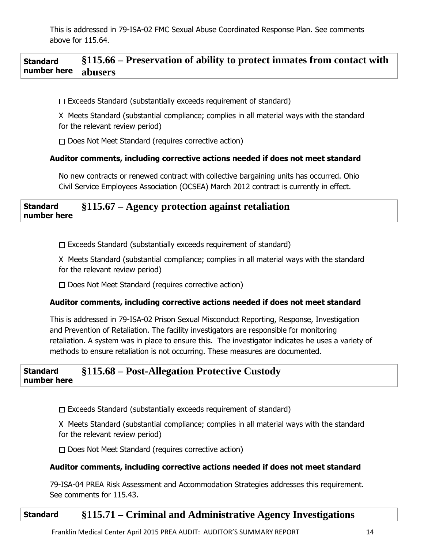This is addressed in 79-ISA-02 FMC Sexual Abuse Coordinated Response Plan. See comments above for 115.64.

#### **Standard number here §115.66 – Preservation of ability to protect inmates from contact with abusers**

 $\Box$  Exceeds Standard (substantially exceeds requirement of standard)

X Meets Standard (substantial compliance; complies in all material ways with the standard for the relevant review period)

 $\Box$  Does Not Meet Standard (requires corrective action)

### **Auditor comments, including corrective actions needed if does not meet standard**

No new contracts or renewed contract with collective bargaining units has occurred. Ohio Civil Service Employees Association (OCSEA) March 2012 contract is currently in effect.

#### **Standard number here §115.67 – Agency protection against retaliation**

 $\Box$  Exceeds Standard (substantially exceeds requirement of standard)

X Meets Standard (substantial compliance; complies in all material ways with the standard for the relevant review period)

 $\Box$  Does Not Meet Standard (requires corrective action)

### **Auditor comments, including corrective actions needed if does not meet standard**

This is addressed in 79-ISA-02 Prison Sexual Misconduct Reporting, Response, Investigation and Prevention of Retaliation. The facility investigators are responsible for monitoring retaliation. A system was in place to ensure this. The investigator indicates he uses a variety of methods to ensure retaliation is not occurring. These measures are documented.

#### **Standard number here §115.68 – Post-Allegation Protective Custody**

 $\Box$  Exceeds Standard (substantially exceeds requirement of standard)

X Meets Standard (substantial compliance; complies in all material ways with the standard for the relevant review period)

 $\Box$  Does Not Meet Standard (requires corrective action)

### **Auditor comments, including corrective actions needed if does not meet standard**

79-ISA-04 PREA Risk Assessment and Accommodation Strategies addresses this requirement. See comments for 115.43.

# **Standard §115.71 – Criminal and Administrative Agency Investigations**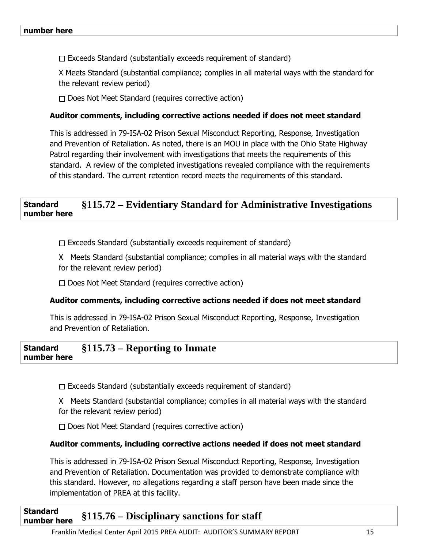$\Box$  Exceeds Standard (substantially exceeds requirement of standard)

X Meets Standard (substantial compliance; complies in all material ways with the standard for the relevant review period)

 $\Box$  Does Not Meet Standard (requires corrective action)

### **Auditor comments, including corrective actions needed if does not meet standard**

This is addressed in 79-ISA-02 Prison Sexual Misconduct Reporting, Response, Investigation and Prevention of Retaliation. As noted, there is an MOU in place with the Ohio State Highway Patrol regarding their involvement with investigations that meets the requirements of this standard. A review of the completed investigations revealed compliance with the requirements of this standard. The current retention record meets the requirements of this standard.

#### **Standard number here §115.72 – Evidentiary Standard for Administrative Investigations**

 $\Box$  Exceeds Standard (substantially exceeds requirement of standard)

X Meets Standard (substantial compliance; complies in all material ways with the standard for the relevant review period)

 $\Box$  Does Not Meet Standard (requires corrective action)

### **Auditor comments, including corrective actions needed if does not meet standard**

This is addressed in 79-ISA-02 Prison Sexual Misconduct Reporting, Response, Investigation and Prevention of Retaliation.

#### **Standard number here §115.73 – Reporting to Inmate**

 $\Box$  Exceeds Standard (substantially exceeds requirement of standard)

X Meets Standard (substantial compliance; complies in all material ways with the standard for the relevant review period)

 $\Box$  Does Not Meet Standard (requires corrective action)

### **Auditor comments, including corrective actions needed if does not meet standard**

This is addressed in 79-ISA-02 Prison Sexual Misconduct Reporting, Response, Investigation and Prevention of Retaliation. Documentation was provided to demonstrate compliance with this standard. However, no allegations regarding a staff person have been made since the implementation of PREA at this facility.

### **Standard number here §115.76 – Disciplinary sanctions for staff**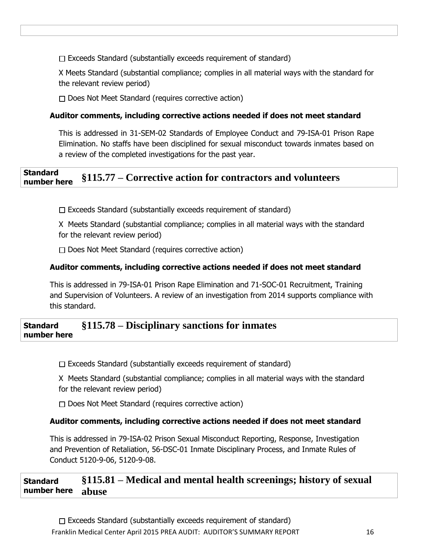$\Box$  Exceeds Standard (substantially exceeds requirement of standard)

X Meets Standard (substantial compliance; complies in all material ways with the standard for the relevant review period)

 $\Box$  Does Not Meet Standard (requires corrective action)

### **Auditor comments, including corrective actions needed if does not meet standard**

This is addressed in 31-SEM-02 Standards of Employee Conduct and 79-ISA-01 Prison Rape Elimination. No staffs have been disciplined for sexual misconduct towards inmates based on a review of the completed investigations for the past year.

### **Standard number here §115.77 – Corrective action for contractors and volunteers**

 $\Box$  Exceeds Standard (substantially exceeds requirement of standard)

X Meets Standard (substantial compliance; complies in all material ways with the standard for the relevant review period)

 $\Box$  Does Not Meet Standard (requires corrective action)

### **Auditor comments, including corrective actions needed if does not meet standard**

This is addressed in 79-ISA-01 Prison Rape Elimination and 71-SOC-01 Recruitment, Training and Supervision of Volunteers. A review of an investigation from 2014 supports compliance with this standard.

#### **Standard number here §115.78 – Disciplinary sanctions for inmates**

 $\Box$  Exceeds Standard (substantially exceeds requirement of standard)

X Meets Standard (substantial compliance; complies in all material ways with the standard for the relevant review period)

 $\Box$  Does Not Meet Standard (requires corrective action)

## **Auditor comments, including corrective actions needed if does not meet standard**

This is addressed in 79-ISA-02 Prison Sexual Misconduct Reporting, Response, Investigation and Prevention of Retaliation, 56-DSC-01 Inmate Disciplinary Process, and Inmate Rules of Conduct 5120-9-06, 5120-9-08.

**Standard number here §115.81 – Medical and mental health screenings; history of sexual abuse**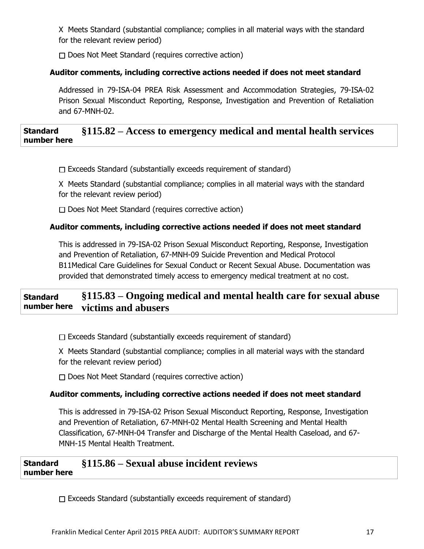X Meets Standard (substantial compliance; complies in all material ways with the standard for the relevant review period)

 $\Box$  Does Not Meet Standard (requires corrective action)

# **Auditor comments, including corrective actions needed if does not meet standard**

Addressed in 79-ISA-04 PREA Risk Assessment and Accommodation Strategies, 79-ISA-02 Prison Sexual Misconduct Reporting, Response, Investigation and Prevention of Retaliation and 67-MNH-02.

### **Standard number here §115.82 – Access to emergency medical and mental health services**

 $\Box$  Exceeds Standard (substantially exceeds requirement of standard)

X Meets Standard (substantial compliance; complies in all material ways with the standard for the relevant review period)

 $\Box$  Does Not Meet Standard (requires corrective action)

# **Auditor comments, including corrective actions needed if does not meet standard**

This is addressed in 79-ISA-02 Prison Sexual Misconduct Reporting, Response, Investigation and Prevention of Retaliation, 67-MNH-09 Suicide Prevention and Medical Protocol B11Medical Care Guidelines for Sexual Conduct or Recent Sexual Abuse. Documentation was provided that demonstrated timely access to emergency medical treatment at no cost.

#### **Standard number here §115.83 – Ongoing medical and mental health care for sexual abuse victims and abusers**

 $\Box$  Exceeds Standard (substantially exceeds requirement of standard)

X Meets Standard (substantial compliance; complies in all material ways with the standard for the relevant review period)

 $\Box$  Does Not Meet Standard (requires corrective action)

# **Auditor comments, including corrective actions needed if does not meet standard**

This is addressed in 79-ISA-02 Prison Sexual Misconduct Reporting, Response, Investigation and Prevention of Retaliation, 67-MNH-02 Mental Health Screening and Mental Health Classification, 67-MNH-04 Transfer and Discharge of the Mental Health Caseload, and 67- MNH-15 Mental Health Treatment.

**Standard number here §115.86 – Sexual abuse incident reviews** 

 $\Box$  Exceeds Standard (substantially exceeds requirement of standard)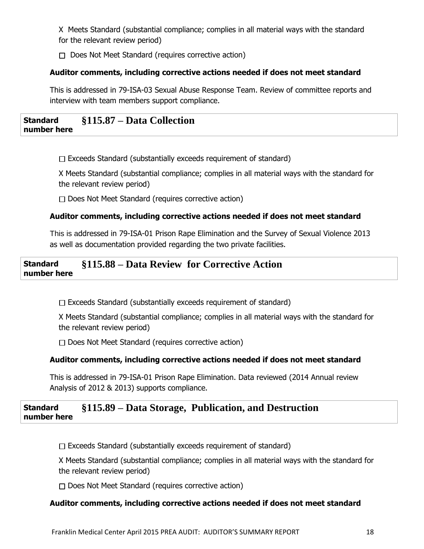X Meets Standard (substantial compliance; complies in all material ways with the standard for the relevant review period)

 $\Box$  Does Not Meet Standard (requires corrective action)

# **Auditor comments, including corrective actions needed if does not meet standard**

This is addressed in 79-ISA-03 Sexual Abuse Response Team. Review of committee reports and interview with team members support compliance.

### **Standard number here §115.87 – Data Collection**

 $\Box$  Exceeds Standard (substantially exceeds requirement of standard)

X Meets Standard (substantial compliance; complies in all material ways with the standard for the relevant review period)

 $\Box$  Does Not Meet Standard (requires corrective action)

# **Auditor comments, including corrective actions needed if does not meet standard**

 This is addressed in 79-ISA-01 Prison Rape Elimination and the Survey of Sexual Violence 2013 as well as documentation provided regarding the two private facilities.

#### **Standard number here §115.88 – Data Review for Corrective Action**

 $\Box$  Exceeds Standard (substantially exceeds requirement of standard)

X Meets Standard (substantial compliance; complies in all material ways with the standard for the relevant review period)

 $\Box$  Does Not Meet Standard (requires corrective action)

# **Auditor comments, including corrective actions needed if does not meet standard**

This is addressed in 79-ISA-01 Prison Rape Elimination. Data reviewed (2014 Annual review Analysis of 2012 & 2013) supports compliance.

#### **Standard number here §115.89 – Data Storage, Publication, and Destruction**

 $\Box$  Exceeds Standard (substantially exceeds requirement of standard)

X Meets Standard (substantial compliance; complies in all material ways with the standard for the relevant review period)

 $\Box$  Does Not Meet Standard (requires corrective action)

# **Auditor comments, including corrective actions needed if does not meet standard**